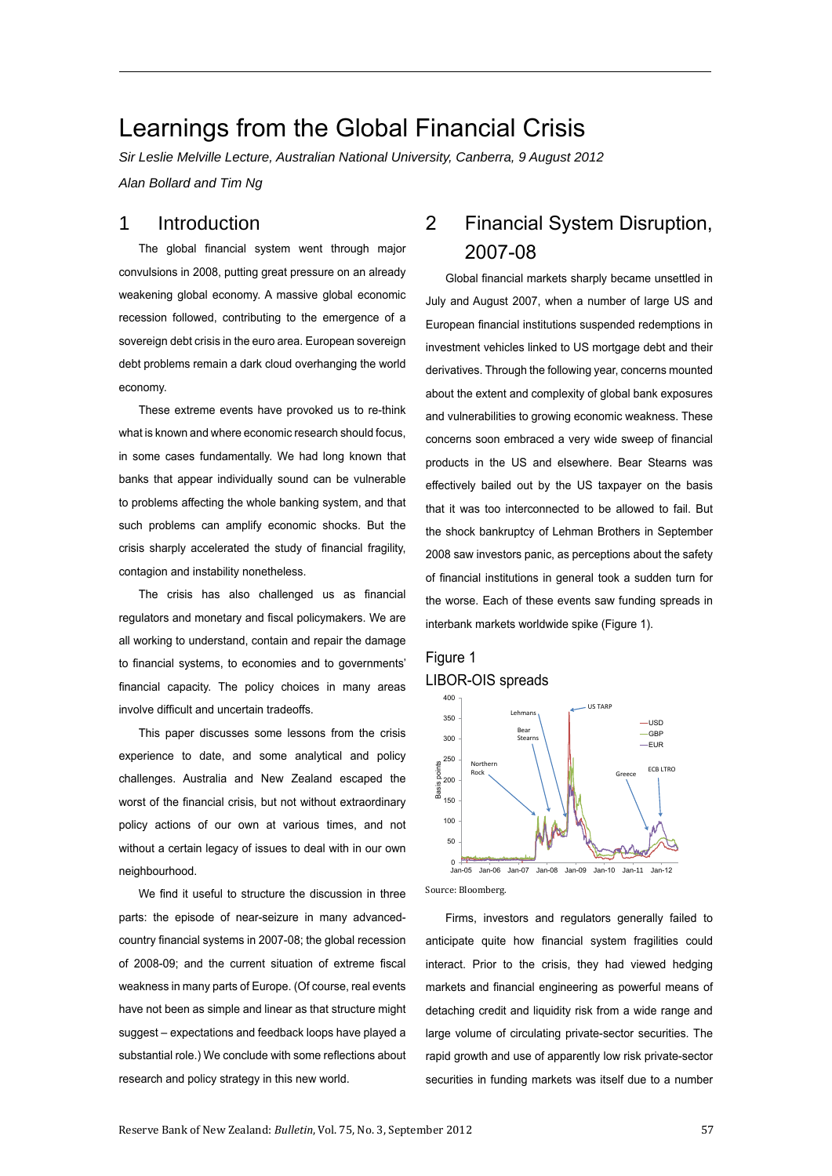# Learnings from the Global Financial Crisis

*Sir Leslie Melville Lecture, Australian National University, Canberra, 9 August 2012 Alan Bollard and Tim Ng*

# 1 Introduction

The global financial system went through major convulsions in 2008, putting great pressure on an already weakening global economy. A massive global economic recession followed, contributing to the emergence of a sovereign debt crisis in the euro area. European sovereign debt problems remain a dark cloud overhanging the world economy.

These extreme events have provoked us to re-think what is known and where economic research should focus, in some cases fundamentally. We had long known that banks that appear individually sound can be vulnerable to problems affecting the whole banking system, and that such problems can amplify economic shocks. But the crisis sharply accelerated the study of financial fragility, contagion and instability nonetheless.

The crisis has also challenged us as financial regulators and monetary and fiscal policymakers. We are all working to understand, contain and repair the damage to financial systems, to economies and to governments' financial capacity. The policy choices in many areas involve difficult and uncertain tradeoffs.

This paper discusses some lessons from the crisis experience to date, and some analytical and policy challenges. Australia and New Zealand escaped the worst of the financial crisis, but not without extraordinary policy actions of our own at various times, and not without a certain legacy of issues to deal with in our own neighbourhood.

We find it useful to structure the discussion in three parts: the episode of near-seizure in many advancedcountry financial systems in 2007-08; the global recession of 2008-09; and the current situation of extreme fiscal weakness in many parts of Europe. (Of course, real events have not been as simple and linear as that structure might suggest – expectations and feedback loops have played a substantial role.) We conclude with some reflections about research and policy strategy in this new world.

# 2 Financial System Disruption, 2007-08

Global financial markets sharply became unsettled in July and August 2007, when a number of large US and European financial institutions suspended redemptions in investment vehicles linked to US mortgage debt and their derivatives. Through the following year, concerns mounted about the extent and complexity of global bank exposures and vulnerabilities to growing economic weakness. These concerns soon embraced a very wide sweep of financial products in the US and elsewhere. Bear Stearns was effectively bailed out by the US taxpayer on the basis that it was too interconnected to be allowed to fail. But the shock bankruptcy of Lehman Brothers in September 2008 saw investors panic, as perceptions about the safety of financial institutions in general took a sudden turn for the worse. Each of these events saw funding spreads in interbank markets worldwide spike (Figure 1).

## Figure 1 LIBOR-OIS spreads



Source: Bloomberg.

Firms, investors and regulators generally failed to anticipate quite how financial system fragilities could interact. Prior to the crisis, they had viewed hedging markets and financial engineering as powerful means of detaching credit and liquidity risk from a wide range and large volume of circulating private-sector securities. The rapid growth and use of apparently low risk private-sector securities in funding markets was itself due to a number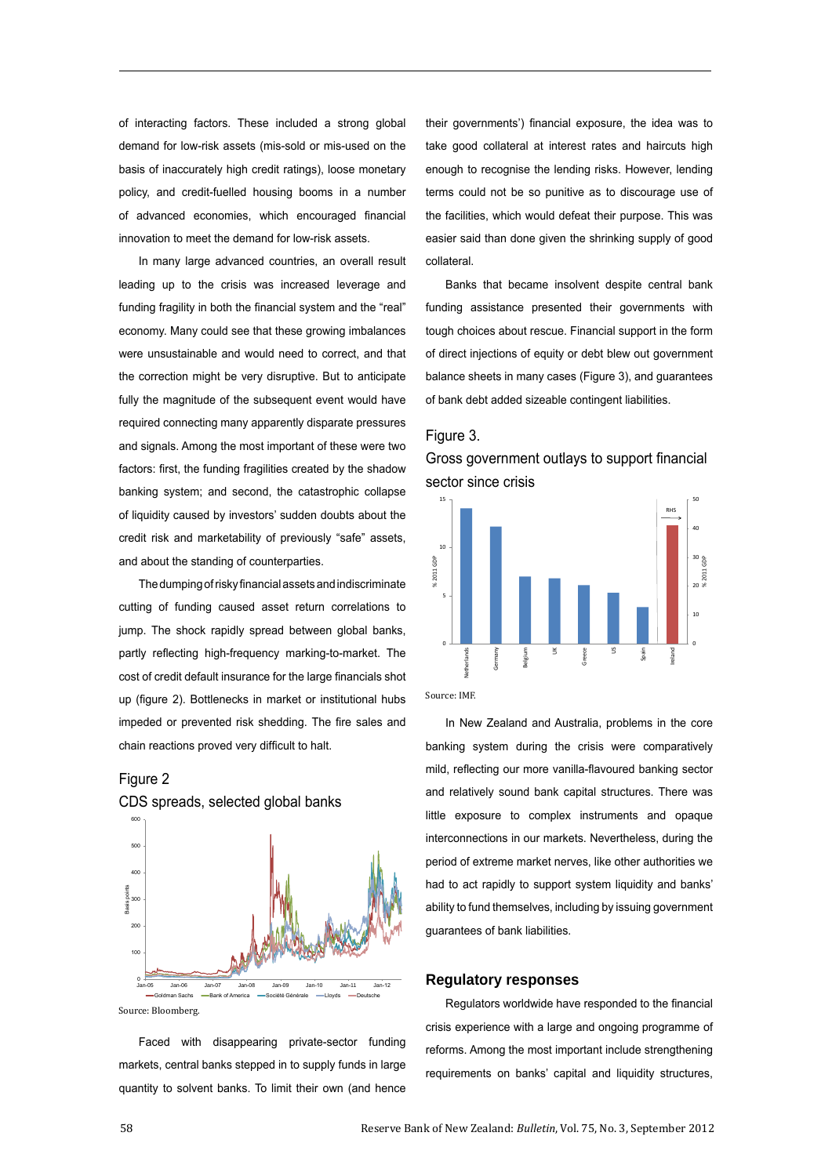of interacting factors. These included a strong global demand for low-risk assets (mis-sold or mis-used on the basis of inaccurately high credit ratings), loose monetary policy, and credit-fuelled housing booms in a number of advanced economies, which encouraged financial innovation to meet the demand for low-risk assets.

In many large advanced countries, an overall result leading up to the crisis was increased leverage and funding fragility in both the financial system and the "real" economy. Many could see that these growing imbalances were unsustainable and would need to correct, and that the correction might be very disruptive. But to anticipate fully the magnitude of the subsequent event would have required connecting many apparently disparate pressures and signals. Among the most important of these were two factors: first, the funding fragilities created by the shadow banking system; and second, the catastrophic collapse of liquidity caused by investors' sudden doubts about the credit risk and marketability of previously "safe" assets, and about the standing of counterparties.

The dumping of risky financial assets and indiscriminate cutting of funding caused asset return correlations to jump. The shock rapidly spread between global banks, partly reflecting high-frequency marking-to-market. The cost of credit default insurance for the large financials shot up (figure 2). Bottlenecks in market or institutional hubs impeded or prevented risk shedding. The fire sales and chain reactions proved very difficult to halt.

## Figure 2



CDS spreads, selected global banks

Faced with disappearing private-sector funding markets, central banks stepped in to supply funds in large quantity to solvent banks. To limit their own (and hence their governments') financial exposure, the idea was to take good collateral at interest rates and haircuts high enough to recognise the lending risks. However, lending terms could not be so punitive as to discourage use of the facilities, which would defeat their purpose. This was easier said than done given the shrinking supply of good collateral.

Banks that became insolvent despite central bank funding assistance presented their governments with tough choices about rescue. Financial support in the form of direct injections of equity or debt blew out government balance sheets in many cases (Figure 3), and guarantees of bank debt added sizeable contingent liabilities.

## Figure 3.





Source: IMF.

In New Zealand and Australia, problems in the core banking system during the crisis were comparatively mild, reflecting our more vanilla-flavoured banking sector and relatively sound bank capital structures. There was little exposure to complex instruments and opaque interconnections in our markets. Nevertheless, during the period of extreme market nerves, like other authorities we had to act rapidly to support system liquidity and banks' ability to fund themselves, including by issuing government guarantees of bank liabilities.

#### **Regulatory responses**

Regulators worldwide have responded to the financial crisis experience with a large and ongoing programme of reforms. Among the most important include strengthening requirements on banks' capital and liquidity structures,

Source: Bloomberg.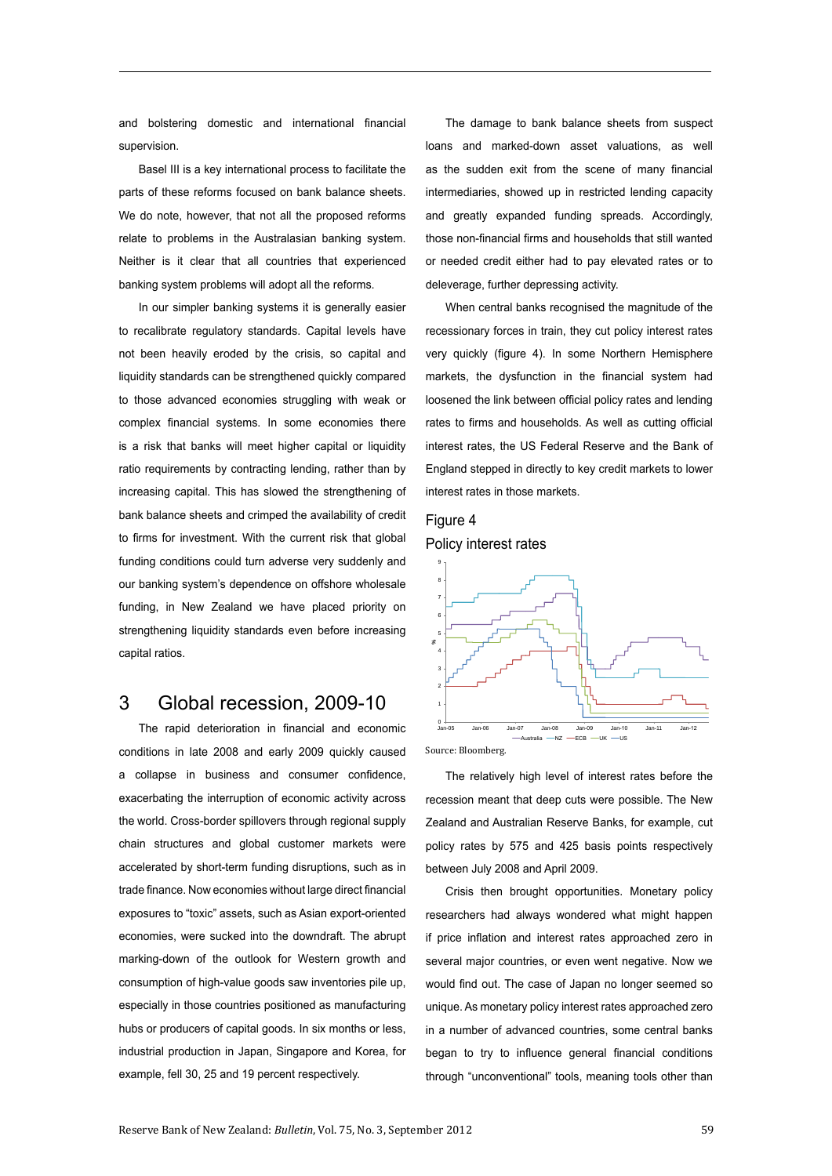and bolstering domestic and international financial supervision.

Basel III is a key international process to facilitate the parts of these reforms focused on bank balance sheets. We do note, however, that not all the proposed reforms relate to problems in the Australasian banking system. Neither is it clear that all countries that experienced banking system problems will adopt all the reforms.

In our simpler banking systems it is generally easier to recalibrate regulatory standards. Capital levels have not been heavily eroded by the crisis, so capital and liquidity standards can be strengthened quickly compared to those advanced economies struggling with weak or complex financial systems. In some economies there is a risk that banks will meet higher capital or liquidity ratio requirements by contracting lending, rather than by increasing capital. This has slowed the strengthening of bank balance sheets and crimped the availability of credit to firms for investment. With the current risk that global funding conditions could turn adverse very suddenly and our banking system's dependence on offshore wholesale funding, in New Zealand we have placed priority on strengthening liquidity standards even before increasing capital ratios.

# 3 Global recession, 2009-10

The rapid deterioration in financial and economic conditions in late 2008 and early 2009 quickly caused a collapse in business and consumer confidence, exacerbating the interruption of economic activity across the world. Cross-border spillovers through regional supply chain structures and global customer markets were accelerated by short-term funding disruptions, such as in trade finance. Now economies without large direct financial exposures to "toxic" assets, such as Asian export-oriented economies, were sucked into the downdraft. The abrupt marking-down of the outlook for Western growth and consumption of high-value goods saw inventories pile up, especially in those countries positioned as manufacturing hubs or producers of capital goods. In six months or less, industrial production in Japan, Singapore and Korea, for example, fell 30, 25 and 19 percent respectively.

The damage to bank balance sheets from suspect loans and marked-down asset valuations, as well as the sudden exit from the scene of many financial intermediaries, showed up in restricted lending capacity and greatly expanded funding spreads. Accordingly, those non-financial firms and households that still wanted or needed credit either had to pay elevated rates or to deleverage, further depressing activity.

When central banks recognised the magnitude of the recessionary forces in train, they cut policy interest rates very quickly (figure 4). In some Northern Hemisphere markets, the dysfunction in the financial system had loosened the link between official policy rates and lending rates to firms and households. As well as cutting official interest rates, the US Federal Reserve and the Bank of England stepped in directly to key credit markets to lower interest rates in those markets.

# Figure 4 Policy interest rates



Source: Bloomberg.

The relatively high level of interest rates before the recession meant that deep cuts were possible. The New Zealand and Australian Reserve Banks, for example, cut policy rates by 575 and 425 basis points respectively between July 2008 and April 2009.

Crisis then brought opportunities. Monetary policy researchers had always wondered what might happen if price inflation and interest rates approached zero in several major countries, or even went negative. Now we would find out. The case of Japan no longer seemed so unique. As monetary policy interest rates approached zero in a number of advanced countries, some central banks began to try to influence general financial conditions through "unconventional" tools, meaning tools other than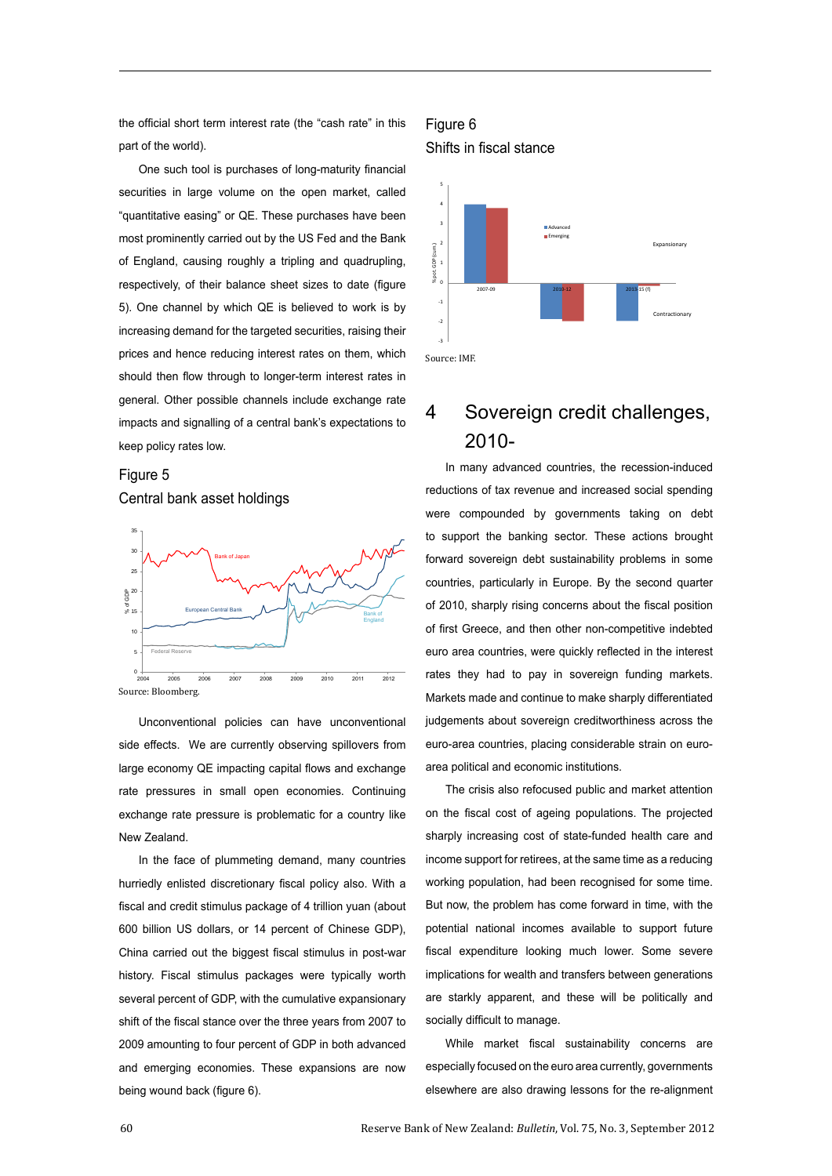the official short term interest rate (the "cash rate" in this part of the world).

One such tool is purchases of long-maturity financial securities in large volume on the open market, called "quantitative easing" or QE. These purchases have been most prominently carried out by the US Fed and the Bank of England, causing roughly a tripling and quadrupling, respectively, of their balance sheet sizes to date (figure 5). One channel by which QE is believed to work is by increasing demand for the targeted securities, raising their prices and hence reducing interest rates on them, which should then flow through to longer-term interest rates in general. Other possible channels include exchange rate impacts and signalling of a central bank's expectations to keep policy rates low.

# Figure 5 Central bank asset holdings



Unconventional policies can have unconventional side effects. We are currently observing spillovers from large economy QE impacting capital flows and exchange rate pressures in small open economies. Continuing exchange rate pressure is problematic for a country like New Zealand.

In the face of plummeting demand, many countries hurriedly enlisted discretionary fiscal policy also. With a fiscal and credit stimulus package of 4 trillion yuan (about 600 billion US dollars, or 14 percent of Chinese GDP), China carried out the biggest fiscal stimulus in post-war history. Fiscal stimulus packages were typically worth several percent of GDP, with the cumulative expansionary shift of the fiscal stance over the three years from 2007 to 2009 amounting to four percent of GDP in both advanced and emerging economies. These expansions are now being wound back (figure 6).

## Figure 6 Shifts in fiscal stance



# 4 Sovereign credit challenges, 2010-

In many advanced countries, the recession-induced reductions of tax revenue and increased social spending were compounded by governments taking on debt to support the banking sector. These actions brought forward sovereign debt sustainability problems in some countries, particularly in Europe. By the second quarter of 2010, sharply rising concerns about the fiscal position of first Greece, and then other non-competitive indebted euro area countries, were quickly reflected in the interest rates they had to pay in sovereign funding markets. Markets made and continue to make sharply differentiated judgements about sovereign creditworthiness across the euro-area countries, placing considerable strain on euroarea political and economic institutions.

The crisis also refocused public and market attention on the fiscal cost of ageing populations. The projected sharply increasing cost of state-funded health care and income support for retirees, at the same time as a reducing working population, had been recognised for some time. But now, the problem has come forward in time, with the potential national incomes available to support future fiscal expenditure looking much lower. Some severe implications for wealth and transfers between generations are starkly apparent, and these will be politically and socially difficult to manage.

While market fiscal sustainability concerns are especially focused on the euro area currently, governments elsewhere are also drawing lessons for the re-alignment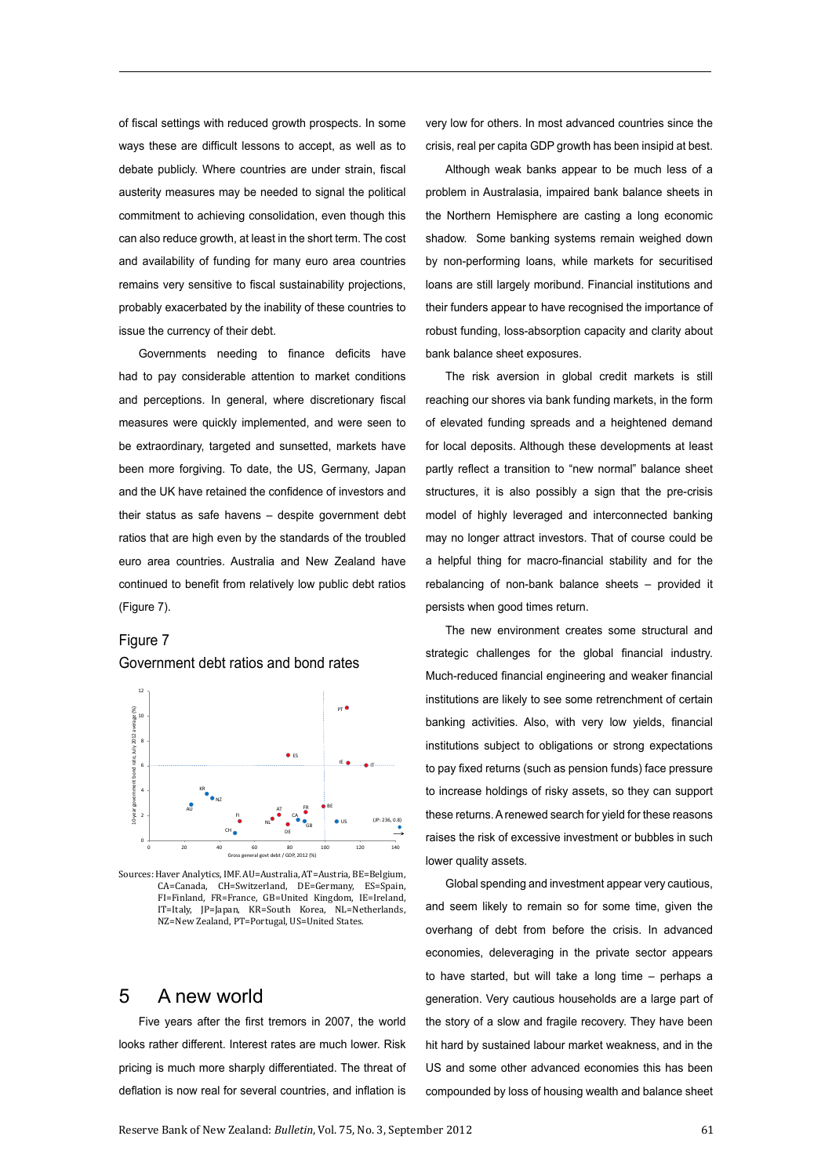of fiscal settings with reduced growth prospects. In some ways these are difficult lessons to accept, as well as to debate publicly. Where countries are under strain, fiscal austerity measures may be needed to signal the political commitment to achieving consolidation, even though this can also reduce growth, at least in the short term. The cost and availability of funding for many euro area countries remains very sensitive to fiscal sustainability projections, probably exacerbated by the inability of these countries to issue the currency of their debt.

Governments needing to finance deficits have had to pay considerable attention to market conditions and perceptions. In general, where discretionary fiscal measures were quickly implemented, and were seen to be extraordinary, targeted and sunsetted, markets have been more forgiving. To date, the US, Germany, Japan and the UK have retained the confidence of investors and their status as safe havens – despite government debt ratios that are high even by the standards of the troubled euro area countries. Australia and New Zealand have continued to benefit from relatively low public debt ratios (Figure 7).

## Figure 7

Government debt ratios and bond rates



Sources: Haver Analytics, IMF. AU=Australia, AT=Austria, BE=Belgium, CA=Canada, CH=Switzerland, DE=Germany, ES=Spain, FI=Finland, FR=France, GB=United Kingdom, IE=Ireland, IT=Italy, JP=Japan, KR=South Korea, NL=Netherlands, NZ=New Zealand, PT=Portugal, US=United States.

# 5 A new world

Five years after the first tremors in 2007, the world looks rather different. Interest rates are much lower. Risk pricing is much more sharply differentiated. The threat of deflation is now real for several countries, and inflation is very low for others. In most advanced countries since the crisis, real per capita GDP growth has been insipid at best.

Although weak banks appear to be much less of a problem in Australasia, impaired bank balance sheets in the Northern Hemisphere are casting a long economic shadow. Some banking systems remain weighed down by non-performing loans, while markets for securitised loans are still largely moribund. Financial institutions and their funders appear to have recognised the importance of robust funding, loss-absorption capacity and clarity about bank balance sheet exposures.

The risk aversion in global credit markets is still reaching our shores via bank funding markets, in the form of elevated funding spreads and a heightened demand for local deposits. Although these developments at least partly reflect a transition to "new normal" balance sheet structures, it is also possibly a sign that the pre-crisis model of highly leveraged and interconnected banking may no longer attract investors. That of course could be a helpful thing for macro-financial stability and for the rebalancing of non-bank balance sheets – provided it persists when good times return.

The new environment creates some structural and strategic challenges for the global financial industry. Much-reduced financial engineering and weaker financial institutions are likely to see some retrenchment of certain banking activities. Also, with very low yields, financial institutions subject to obligations or strong expectations to pay fixed returns (such as pension funds) face pressure to increase holdings of risky assets, so they can support these returns. A renewed search for yield for these reasons raises the risk of excessive investment or bubbles in such lower quality assets.

Global spending and investment appear very cautious, and seem likely to remain so for some time, given the overhang of debt from before the crisis. In advanced economies, deleveraging in the private sector appears to have started, but will take a long time – perhaps a generation. Very cautious households are a large part of the story of a slow and fragile recovery. They have been hit hard by sustained labour market weakness, and in the US and some other advanced economies this has been compounded by loss of housing wealth and balance sheet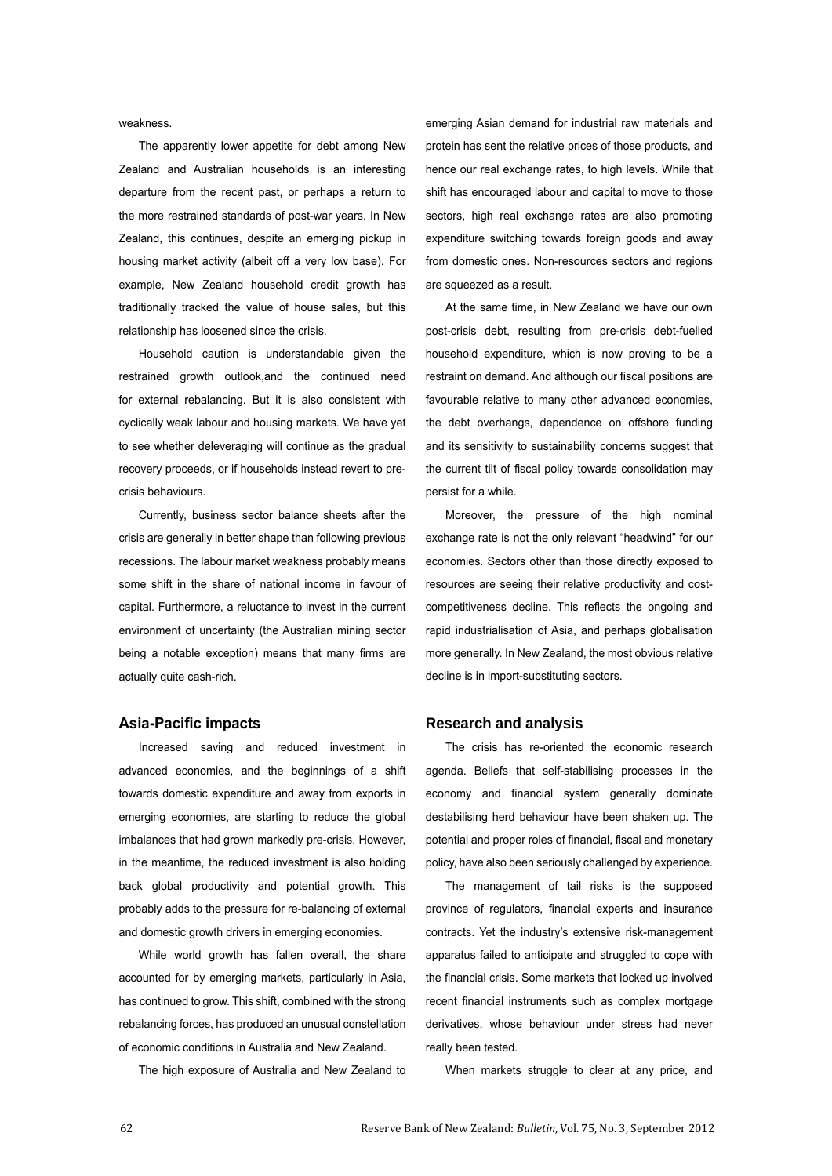weakness.

The apparently lower appetite for debt among New Zealand and Australian households is an interesting departure from the recent past, or perhaps a return to the more restrained standards of post-war years. In New Zealand, this continues, despite an emerging pickup in housing market activity (albeit off a very low base). For example, New Zealand household credit growth has traditionally tracked the value of house sales, but this relationship has loosened since the crisis.

Household caution is understandable given the restrained growth outlook,and the continued need for external rebalancing. But it is also consistent with cyclically weak labour and housing markets. We have yet to see whether deleveraging will continue as the gradual recovery proceeds, or if households instead revert to precrisis behaviours.

Currently, business sector balance sheets after the crisis are generally in better shape than following previous recessions. The labour market weakness probably means some shift in the share of national income in favour of capital. Furthermore, a reluctance to invest in the current environment of uncertainty (the Australian mining sector being a notable exception) means that many firms are actually quite cash-rich.

## **Asia-Pacific impacts**

Increased saving and reduced investment in advanced economies, and the beginnings of a shift towards domestic expenditure and away from exports in emerging economies, are starting to reduce the global imbalances that had grown markedly pre-crisis. However, in the meantime, the reduced investment is also holding back global productivity and potential growth. This probably adds to the pressure for re-balancing of external and domestic growth drivers in emerging economies.

While world growth has fallen overall, the share accounted for by emerging markets, particularly in Asia, has continued to grow. This shift, combined with the strong rebalancing forces, has produced an unusual constellation of economic conditions in Australia and New Zealand.

The high exposure of Australia and New Zealand to

emerging Asian demand for industrial raw materials and protein has sent the relative prices of those products, and hence our real exchange rates, to high levels. While that shift has encouraged labour and capital to move to those sectors, high real exchange rates are also promoting expenditure switching towards foreign goods and away from domestic ones. Non-resources sectors and regions are squeezed as a result.

At the same time, in New Zealand we have our own post-crisis debt, resulting from pre-crisis debt-fuelled household expenditure, which is now proving to be a restraint on demand. And although our fiscal positions are favourable relative to many other advanced economies, the debt overhangs, dependence on offshore funding and its sensitivity to sustainability concerns suggest that the current tilt of fiscal policy towards consolidation may persist for a while.

Moreover, the pressure of the high nominal exchange rate is not the only relevant "headwind" for our economies. Sectors other than those directly exposed to resources are seeing their relative productivity and costcompetitiveness decline. This reflects the ongoing and rapid industrialisation of Asia, and perhaps globalisation more generally. In New Zealand, the most obvious relative decline is in import-substituting sectors.

#### **Research and analysis**

The crisis has re-oriented the economic research agenda. Beliefs that self-stabilising processes in the economy and financial system generally dominate destabilising herd behaviour have been shaken up. The potential and proper roles of financial, fiscal and monetary policy, have also been seriously challenged by experience.

The management of tail risks is the supposed province of regulators, financial experts and insurance contracts. Yet the industry's extensive risk-management apparatus failed to anticipate and struggled to cope with the financial crisis. Some markets that locked up involved recent financial instruments such as complex mortgage derivatives, whose behaviour under stress had never really been tested.

When markets struggle to clear at any price, and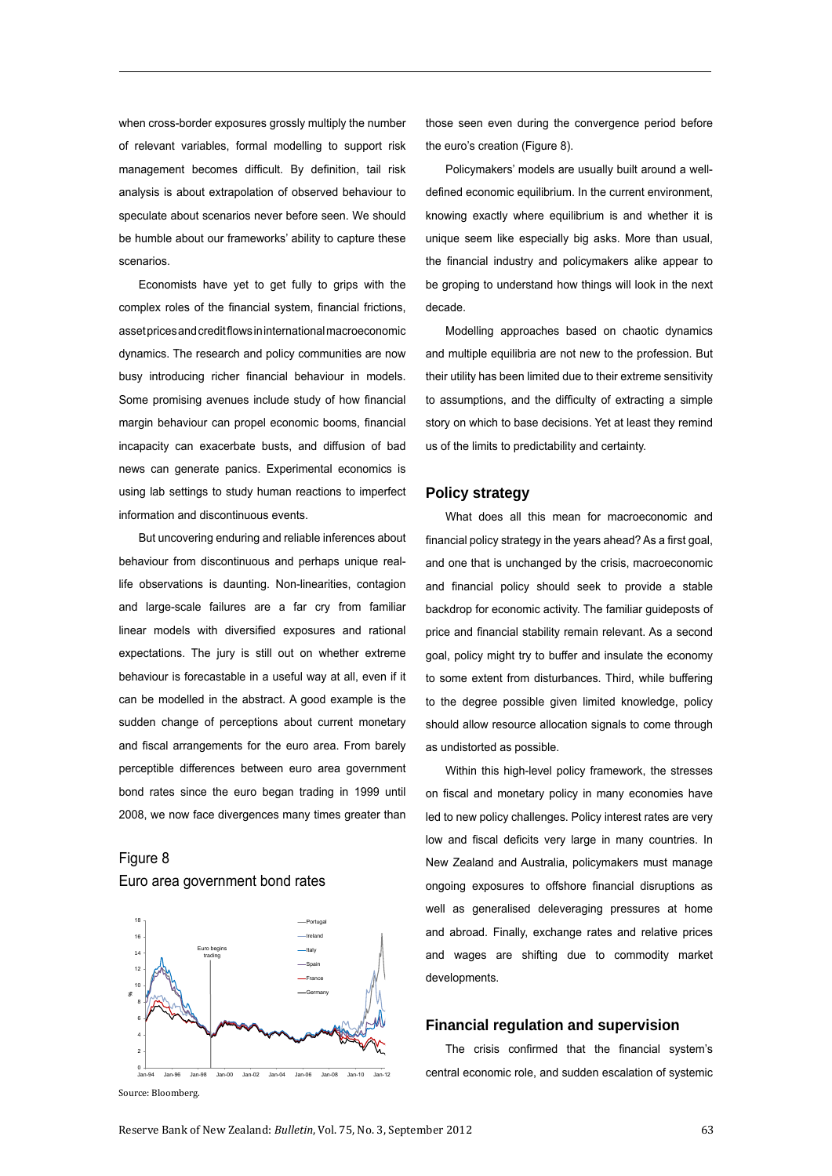when cross-border exposures grossly multiply the number of relevant variables, formal modelling to support risk management becomes difficult. By definition, tail risk analysis is about extrapolation of observed behaviour to speculate about scenarios never before seen. We should be humble about our frameworks' ability to capture these scenarios.

Economists have yet to get fully to grips with the complex roles of the financial system, financial frictions, asset prices and credit flows in international macroeconomic dynamics. The research and policy communities are now busy introducing richer financial behaviour in models. Some promising avenues include study of how financial margin behaviour can propel economic booms, financial incapacity can exacerbate busts, and diffusion of bad news can generate panics. Experimental economics is using lab settings to study human reactions to imperfect information and discontinuous events.

But uncovering enduring and reliable inferences about behaviour from discontinuous and perhaps unique reallife observations is daunting. Non-linearities, contagion and large-scale failures are a far cry from familiar linear models with diversified exposures and rational expectations. The jury is still out on whether extreme behaviour is forecastable in a useful way at all, even if it can be modelled in the abstract. A good example is the sudden change of perceptions about current monetary and fiscal arrangements for the euro area. From barely perceptible differences between euro area government bond rates since the euro began trading in 1999 until 2008, we now face divergences many times greater than

# Figure 8 Euro area government bond rates



Source: Bloomberg.

those seen even during the convergence period before the euro's creation (Figure 8).

Policymakers' models are usually built around a welldefined economic equilibrium. In the current environment, knowing exactly where equilibrium is and whether it is unique seem like especially big asks. More than usual, the financial industry and policymakers alike appear to be groping to understand how things will look in the next decade.

Modelling approaches based on chaotic dynamics and multiple equilibria are not new to the profession. But their utility has been limited due to their extreme sensitivity to assumptions, and the difficulty of extracting a simple story on which to base decisions. Yet at least they remind us of the limits to predictability and certainty.

#### **Policy strategy**

What does all this mean for macroeconomic and financial policy strategy in the years ahead? As a first goal, and one that is unchanged by the crisis, macroeconomic and financial policy should seek to provide a stable backdrop for economic activity. The familiar guideposts of price and financial stability remain relevant. As a second goal, policy might try to buffer and insulate the economy to some extent from disturbances. Third, while buffering to the degree possible given limited knowledge, policy should allow resource allocation signals to come through as undistorted as possible.

Within this high-level policy framework, the stresses on fiscal and monetary policy in many economies have led to new policy challenges. Policy interest rates are very low and fiscal deficits very large in many countries. In New Zealand and Australia, policymakers must manage ongoing exposures to offshore financial disruptions as well as generalised deleveraging pressures at home and abroad. Finally, exchange rates and relative prices and wages are shifting due to commodity market developments.

### **Financial regulation and supervision**

The crisis confirmed that the financial system's central economic role, and sudden escalation of systemic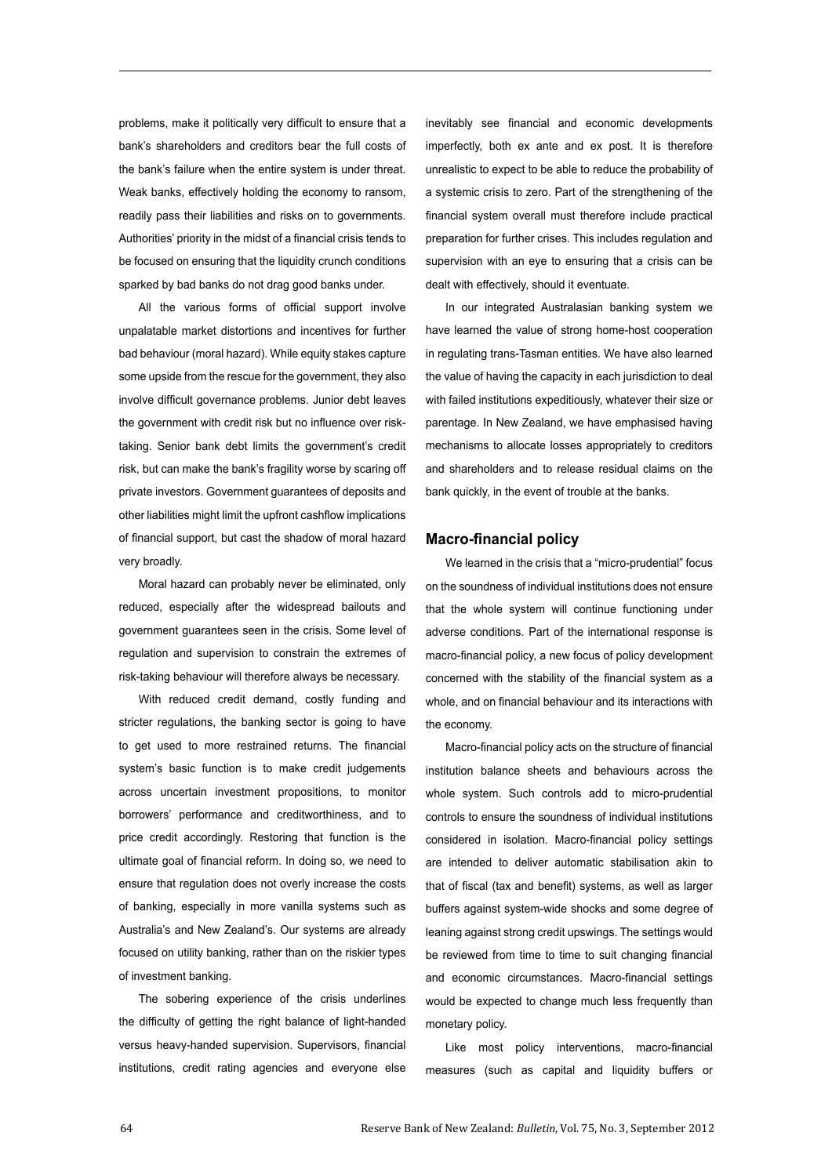problems, make it politically very difficult to ensure that a bank's shareholders and creditors bear the full costs of the bank's failure when the entire system is under threat. Weak banks, effectively holding the economy to ransom, readily pass their liabilities and risks on to governments. Authorities' priority in the midst of a financial crisis tends to be focused on ensuring that the liquidity crunch conditions sparked by bad banks do not drag good banks under.

All the various forms of official support involve unpalatable market distortions and incentives for further bad behaviour (moral hazard). While equity stakes capture some upside from the rescue for the government, they also involve difficult governance problems. Junior debt leaves the government with credit risk but no influence over risktaking. Senior bank debt limits the government's credit risk, but can make the bank's fragility worse by scaring off private investors. Government guarantees of deposits and other liabilities might limit the upfront cashflow implications of financial support, but cast the shadow of moral hazard very broadly.

Moral hazard can probably never be eliminated, only reduced, especially after the widespread bailouts and government guarantees seen in the crisis. Some level of regulation and supervision to constrain the extremes of risk-taking behaviour will therefore always be necessary.

With reduced credit demand, costly funding and stricter regulations, the banking sector is going to have to get used to more restrained returns. The financial system's basic function is to make credit judgements across uncertain investment propositions, to monitor borrowers' performance and creditworthiness, and to price credit accordingly. Restoring that function is the ultimate goal of financial reform. In doing so, we need to ensure that regulation does not overly increase the costs of banking, especially in more vanilla systems such as Australia's and New Zealand's. Our systems are already focused on utility banking, rather than on the riskier types of investment banking.

The sobering experience of the crisis underlines the difficulty of getting the right balance of light-handed versus heavy-handed supervision. Supervisors, financial institutions, credit rating agencies and everyone else inevitably see financial and economic developments imperfectly, both ex ante and ex post. It is therefore unrealistic to expect to be able to reduce the probability of a systemic crisis to zero. Part of the strengthening of the financial system overall must therefore include practical preparation for further crises. This includes regulation and supervision with an eye to ensuring that a crisis can be dealt with effectively, should it eventuate.

In our integrated Australasian banking system we have learned the value of strong home-host cooperation in regulating trans-Tasman entities. We have also learned the value of having the capacity in each jurisdiction to deal with failed institutions expeditiously, whatever their size or parentage. In New Zealand, we have emphasised having mechanisms to allocate losses appropriately to creditors and shareholders and to release residual claims on the bank quickly, in the event of trouble at the banks.

#### **Macro-financial policy**

We learned in the crisis that a "micro-prudential" focus on the soundness of individual institutions does not ensure that the whole system will continue functioning under adverse conditions. Part of the international response is macro-financial policy, a new focus of policy development concerned with the stability of the financial system as a whole, and on financial behaviour and its interactions with the economy.

Macro-financial policy acts on the structure of financial institution balance sheets and behaviours across the whole system. Such controls add to micro-prudential controls to ensure the soundness of individual institutions considered in isolation. Macro-financial policy settings are intended to deliver automatic stabilisation akin to that of fiscal (tax and benefit) systems, as well as larger buffers against system-wide shocks and some degree of leaning against strong credit upswings. The settings would be reviewed from time to time to suit changing financial and economic circumstances. Macro-financial settings would be expected to change much less frequently than monetary policy.

Like most policy interventions, macro-financial measures (such as capital and liquidity buffers or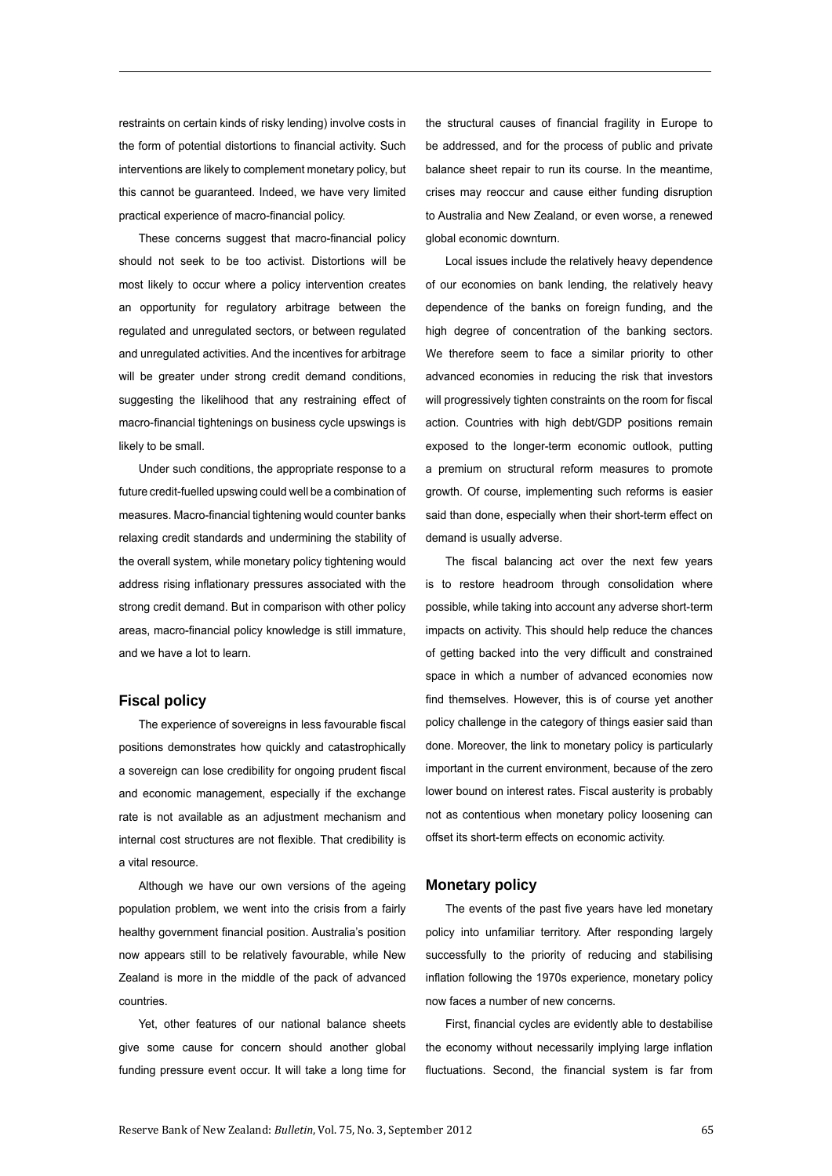restraints on certain kinds of risky lending) involve costs in the form of potential distortions to financial activity. Such interventions are likely to complement monetary policy, but this cannot be guaranteed. Indeed, we have very limited practical experience of macro-financial policy.

These concerns suggest that macro-financial policy should not seek to be too activist. Distortions will be most likely to occur where a policy intervention creates an opportunity for regulatory arbitrage between the regulated and unregulated sectors, or between regulated and unregulated activities. And the incentives for arbitrage will be greater under strong credit demand conditions, suggesting the likelihood that any restraining effect of macro-financial tightenings on business cycle upswings is likely to be small.

Under such conditions, the appropriate response to a future credit-fuelled upswing could well be a combination of measures. Macro-financial tightening would counter banks relaxing credit standards and undermining the stability of the overall system, while monetary policy tightening would address rising inflationary pressures associated with the strong credit demand. But in comparison with other policy areas, macro-financial policy knowledge is still immature, and we have a lot to learn.

## **Fiscal policy**

The experience of sovereigns in less favourable fiscal positions demonstrates how quickly and catastrophically a sovereign can lose credibility for ongoing prudent fiscal and economic management, especially if the exchange rate is not available as an adjustment mechanism and internal cost structures are not flexible. That credibility is a vital resource.

Although we have our own versions of the ageing population problem, we went into the crisis from a fairly healthy government financial position. Australia's position now appears still to be relatively favourable, while New Zealand is more in the middle of the pack of advanced countries.

Yet, other features of our national balance sheets give some cause for concern should another global funding pressure event occur. It will take a long time for the structural causes of financial fragility in Europe to be addressed, and for the process of public and private balance sheet repair to run its course. In the meantime, crises may reoccur and cause either funding disruption to Australia and New Zealand, or even worse, a renewed global economic downturn.

Local issues include the relatively heavy dependence of our economies on bank lending, the relatively heavy dependence of the banks on foreign funding, and the high degree of concentration of the banking sectors. We therefore seem to face a similar priority to other advanced economies in reducing the risk that investors will progressively tighten constraints on the room for fiscal action. Countries with high debt/GDP positions remain exposed to the longer-term economic outlook, putting a premium on structural reform measures to promote growth. Of course, implementing such reforms is easier said than done, especially when their short-term effect on demand is usually adverse.

The fiscal balancing act over the next few years is to restore headroom through consolidation where possible, while taking into account any adverse short-term impacts on activity. This should help reduce the chances of getting backed into the very difficult and constrained space in which a number of advanced economies now find themselves. However, this is of course yet another policy challenge in the category of things easier said than done. Moreover, the link to monetary policy is particularly important in the current environment, because of the zero lower bound on interest rates. Fiscal austerity is probably not as contentious when monetary policy loosening can offset its short-term effects on economic activity.

## **Monetary policy**

The events of the past five years have led monetary policy into unfamiliar territory. After responding largely successfully to the priority of reducing and stabilising inflation following the 1970s experience, monetary policy now faces a number of new concerns.

First, financial cycles are evidently able to destabilise the economy without necessarily implying large inflation fluctuations. Second, the financial system is far from